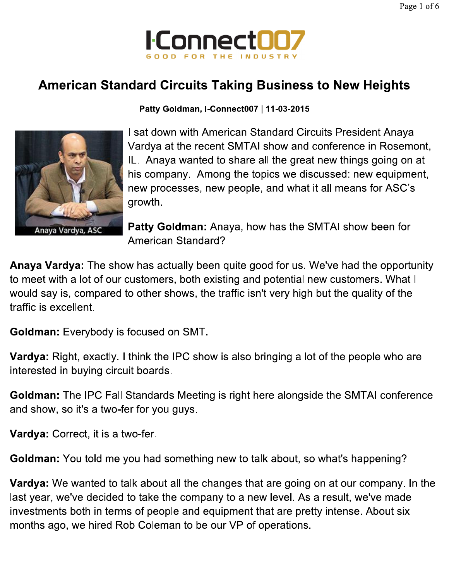

## **American Standard Circuits Taking Business to New Heights**



Patty Goldman, I-Connect007 | 11-03-2015

I sat down with American Standard Circuits President Anaya Vardya at the recent SMTAI show and conference in Rosemont, IL. Anaya wanted to share all the great new things going on at his company. Among the topics we discussed: new equipment, new processes, new people, and what it all means for ASC's growth.

Patty Goldman: Anaya, how has the SMTAI show been for **American Standard?** 

Anaya Vardya: The show has actually been quite good for us. We've had the opportunity to meet with a lot of our customers, both existing and potential new customers. What I would say is, compared to other shows, the traffic isn't very high but the quality of the traffic is excellent.

**Goldman:** Everybody is focused on SMT.

Vardya: Right, exactly. I think the IPC show is also bringing a lot of the people who are interested in buying circuit boards.

Goldman: The IPC Fall Standards Meeting is right here alongside the SMTAI conference and show, so it's a two-fer for you guys.

Vardya: Correct, it is a two-fer.

Goldman: You told me you had something new to talk about, so what's happening?

Vardya: We wanted to talk about all the changes that are going on at our company. In the last year, we've decided to take the company to a new level. As a result, we've made investments both in terms of people and equipment that are pretty intense. About six months ago, we hired Rob Coleman to be our VP of operations.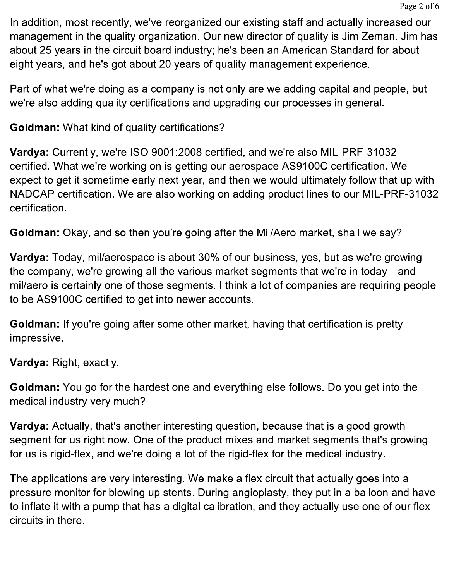In addition, most recently, we've reorganized our existing staff and actually increased our management in the quality organization. Our new director of quality is Jim Zeman. Jim has about 25 years in the circuit board industry; he's been an American Standard for about eight years, and he's got about 20 years of quality management experience.

Part of what we're doing as a company is not only are we adding capital and people, but we're also adding quality certifications and upgrading our processes in general.

**Goldman:** What kind of quality certifications?

Vardya: Currently, we're ISO 9001:2008 certified, and we're also MIL-PRF-31032 certified. What we're working on is getting our aerospace AS9100C certification. We expect to get it sometime early next year, and then we would ultimately follow that up with NADCAP certification. We are also working on adding product lines to our MIL-PRF-31032 certification.

Goldman: Okay, and so then you're going after the Mil/Aero market, shall we say?

**Vardya:** Today, mil/aerospace is about 30% of our business, yes, but as we're growing the company, we're growing all the various market segments that we're in today—and mil/aero is certainly one of those segments. I think a lot of companies are requiring people to be AS9100C certified to get into newer accounts.

Goldman: If you're going after some other market, having that certification is pretty impressive.

Vardya: Right, exactly.

**Goldman:** You go for the hardest one and everything else follows. Do you get into the medical industry very much?

Vardya: Actually, that's another interesting question, because that is a good growth segment for us right now. One of the product mixes and market segments that's growing for us is rigid-flex, and we're doing a lot of the rigid-flex for the medical industry.

The applications are very interesting. We make a flex circuit that actually goes into a pressure monitor for blowing up stents. During angioplasty, they put in a balloon and have to inflate it with a pump that has a digital calibration, and they actually use one of our flex circuits in there.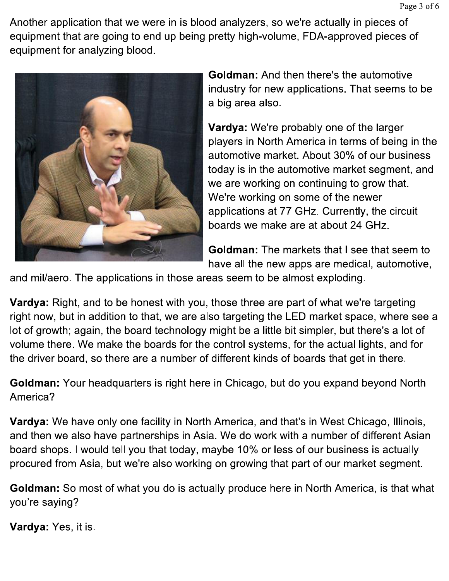Another application that we were in is blood analyzers, so we're actually in pieces of equipment that are going to end up being pretty high-volume, FDA-approved pieces of equipment for analyzing blood.



**Goldman:** And then there's the automotive industry for new applications. That seems to be a big area also.

Vardya: We're probably one of the larger players in North America in terms of being in the automotive market. About 30% of our business today is in the automotive market segment, and we are working on continuing to grow that. We're working on some of the newer applications at 77 GHz. Currently, the circuit boards we make are at about 24 GHz.

Goldman: The markets that I see that seem to have all the new apps are medical, automotive,

and mil/aero. The applications in those areas seem to be almost exploding.

Vardya: Right, and to be honest with you, those three are part of what we're targeting right now, but in addition to that, we are also targeting the LED market space, where see a lot of growth; again, the board technology might be a little bit simpler, but there's a lot of volume there. We make the boards for the control systems, for the actual lights, and for the driver board, so there are a number of different kinds of boards that get in there.

Goldman: Your headquarters is right here in Chicago, but do you expand beyond North America?

Vardya: We have only one facility in North America, and that's in West Chicago, Illinois, and then we also have partnerships in Asia. We do work with a number of different Asian board shops. I would tell you that today, maybe 10% or less of our business is actually procured from Asia, but we're also working on growing that part of our market segment.

Goldman: So most of what you do is actually produce here in North America, is that what you're saying?

Vardya: Yes, it is.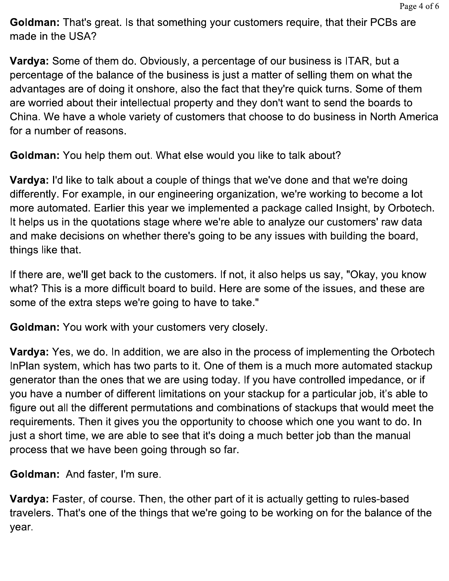**Goldman:** That's great. Is that something your customers require, that their PCBs are made in the USA?

Vardya: Some of them do. Obviously, a percentage of our business is ITAR, but a percentage of the balance of the business is just a matter of selling them on what the advantages are of doing it onshore, also the fact that they're quick turns. Some of them are worried about their intellectual property and they don't want to send the boards to China. We have a whole variety of customers that choose to do business in North America for a number of reasons.

Goldman: You help them out. What else would you like to talk about?

Vardya: I'd like to talk about a couple of things that we've done and that we're doing differently. For example, in our engineering organization, we're working to become a lot more automated. Earlier this year we implemented a package called Insight, by Orbotech. It helps us in the quotations stage where we're able to analyze our customers' raw data and make decisions on whether there's going to be any issues with building the board, things like that.

If there are, we'll get back to the customers. If not, it also helps us say, "Okay, you know what? This is a more difficult board to build. Here are some of the issues, and these are some of the extra steps we're going to have to take."

**Goldman:** You work with your customers very closely.

Vardya: Yes, we do. In addition, we are also in the process of implementing the Orbotech InPlan system, which has two parts to it. One of them is a much more automated stackup generator than the ones that we are using today. If you have controlled impedance, or if you have a number of different limitations on your stackup for a particular job, it's able to figure out all the different permutations and combinations of stackups that would meet the requirements. Then it gives you the opportunity to choose which one you want to do. In just a short time, we are able to see that it's doing a much better job than the manual process that we have been going through so far.

Goldman: And faster, I'm sure.

Vardya: Faster, of course. Then, the other part of it is actually getting to rules-based travelers. That's one of the things that we're going to be working on for the balance of the year.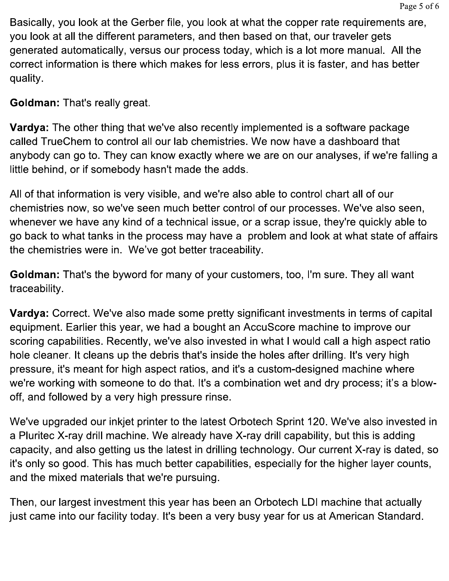Basically, you look at the Gerber file, you look at what the copper rate requirements are, you look at all the different parameters, and then based on that, our traveler gets generated automatically, versus our process today, which is a lot more manual. All the correct information is there which makes for less errors, plus it is faster, and has better quality.

**Goldman: That's really great.** 

Vardya: The other thing that we've also recently implemented is a software package called TrueChem to control all our lab chemistries. We now have a dashboard that anybody can go to. They can know exactly where we are on our analyses, if we're falling a little behind, or if somebody hasn't made the adds.

All of that information is very visible, and we're also able to control chart all of our chemistries now, so we've seen much better control of our processes. We've also seen, whenever we have any kind of a technical issue, or a scrap issue, they're quickly able to go back to what tanks in the process may have a problem and look at what state of affairs the chemistries were in. We've got better traceability.

**Goldman:** That's the byword for many of your customers, too, I'm sure. They all want traceability.

Vardya: Correct. We've also made some pretty significant investments in terms of capital equipment. Earlier this year, we had a bought an AccuScore machine to improve our scoring capabilities. Recently, we've also invested in what I would call a high aspect ratio hole cleaner. It cleans up the debris that's inside the holes after drilling. It's very high pressure, it's meant for high aspect ratios, and it's a custom-designed machine where we're working with someone to do that. It's a combination wet and dry process; it's a blowoff, and followed by a very high pressure rinse.

We've upgraded our inkjet printer to the latest Orbotech Sprint 120. We've also invested in a Pluritec X-ray drill machine. We already have X-ray drill capability, but this is adding capacity, and also getting us the latest in drilling technology. Our current X-ray is dated, so it's only so good. This has much better capabilities, especially for the higher layer counts, and the mixed materials that we're pursuing.

Then, our largest investment this year has been an Orbotech LDI machine that actually just came into our facility today. It's been a very busy year for us at American Standard.